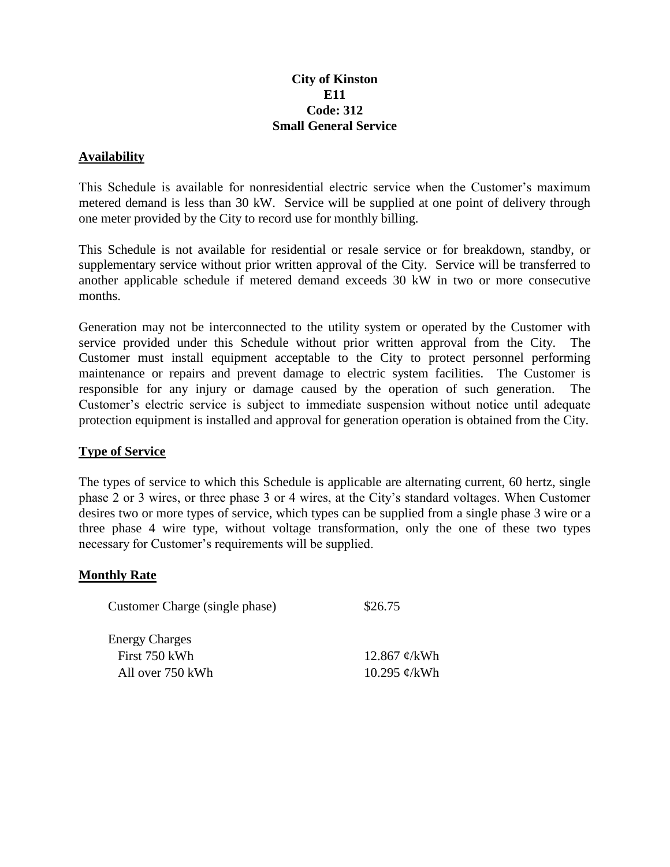# **City of Kinston E11 Code: 312 Small General Service**

## **Availability**

This Schedule is available for nonresidential electric service when the Customer's maximum metered demand is less than 30 kW. Service will be supplied at one point of delivery through one meter provided by the City to record use for monthly billing.

This Schedule is not available for residential or resale service or for breakdown, standby, or supplementary service without prior written approval of the City. Service will be transferred to another applicable schedule if metered demand exceeds 30 kW in two or more consecutive months.

Generation may not be interconnected to the utility system or operated by the Customer with service provided under this Schedule without prior written approval from the City. The Customer must install equipment acceptable to the City to protect personnel performing maintenance or repairs and prevent damage to electric system facilities. The Customer is responsible for any injury or damage caused by the operation of such generation. The Customer's electric service is subject to immediate suspension without notice until adequate protection equipment is installed and approval for generation operation is obtained from the City.

### **Type of Service**

The types of service to which this Schedule is applicable are alternating current, 60 hertz, single phase 2 or 3 wires, or three phase 3 or 4 wires, at the City's standard voltages. When Customer desires two or more types of service, which types can be supplied from a single phase 3 wire or a three phase 4 wire type, without voltage transformation, only the one of these two types necessary for Customer's requirements will be supplied.

### **Monthly Rate**

| Customer Charge (single phase) | \$26.75                  |
|--------------------------------|--------------------------|
| <b>Energy Charges</b>          |                          |
| First 750 kWh                  | 12.867 $\mathcal{C}/kWh$ |
| All over 750 kWh               | 10.295 $\mathcal{C}/kWh$ |